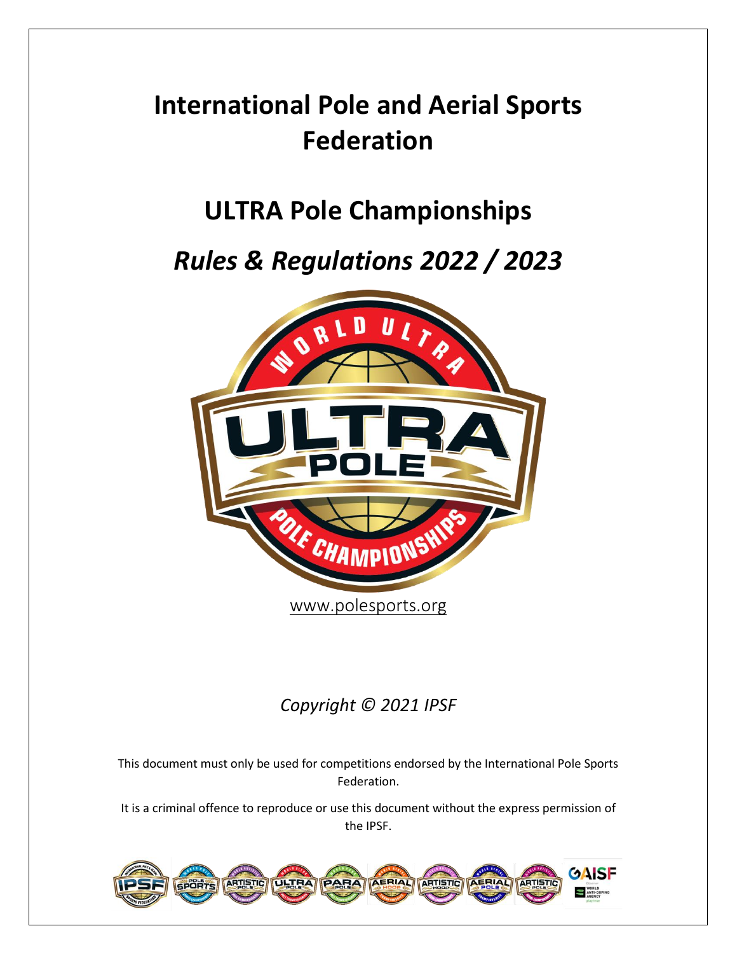# **International Pole and Aerial Sports Federation**

## **ULTRA Pole Championships**

## *Rules & Regulations 2022 / 2023*



### *Copyright © 2021 IPSF*

This document must only be used for competitions endorsed by the International Pole Sports Federation.

It is a criminal offence to reproduce or use this document without the express permission of the IPSF.

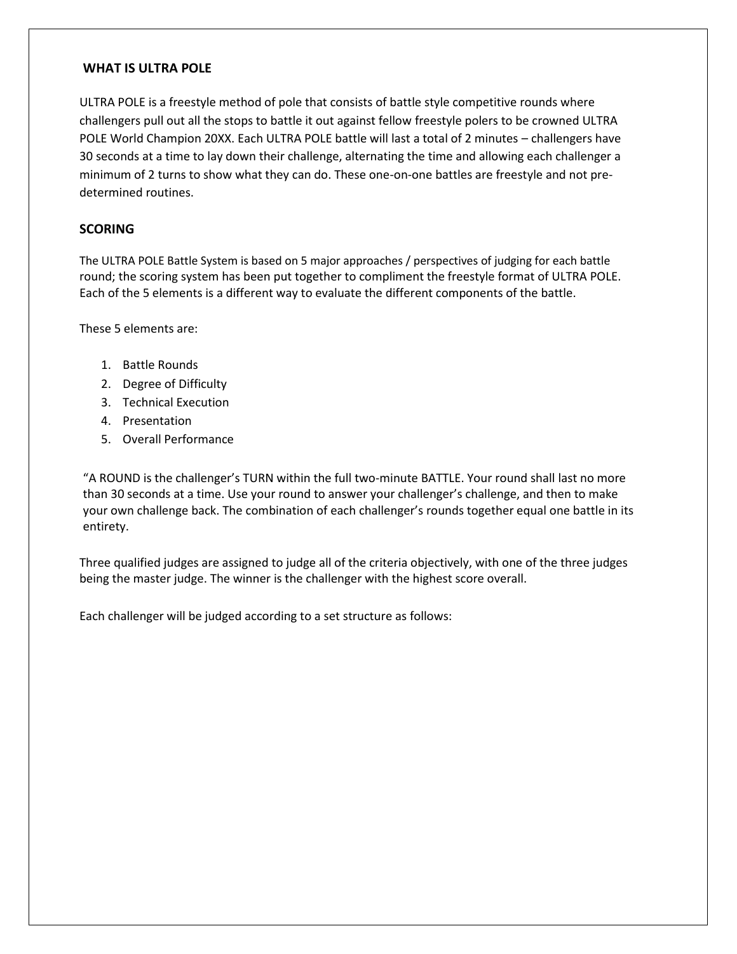#### **WHAT IS ULTRA POLE**

ULTRA POLE is a freestyle method of pole that consists of battle style competitive rounds where challengers pull out all the stops to battle it out against fellow freestyle polers to be crowned ULTRA POLE World Champion 20XX. Each ULTRA POLE battle will last a total of 2 minutes – challengers have 30 seconds at a time to lay down their challenge, alternating the time and allowing each challenger a minimum of 2 turns to show what they can do. These one-on-one battles are freestyle and not predetermined routines.

#### **SCORING**

The ULTRA POLE Battle System is based on 5 major approaches / perspectives of judging for each battle round; the scoring system has been put together to compliment the freestyle format of ULTRA POLE. Each of the 5 elements is a different way to evaluate the different components of the battle.

These 5 elements are:

- 1. Battle Rounds
- 2. Degree of Difficulty
- 3. Technical Execution
- 4. Presentation
- 5. Overall Performance

"A ROUND is the challenger's TURN within the full two-minute BATTLE. Your round shall last no more than 30 seconds at a time. Use your round to answer your challenger's challenge, and then to make your own challenge back. The combination of each challenger's rounds together equal one battle in its entirety.

Three qualified judges are assigned to judge all of the criteria objectively, with one of the three judges being the master judge. The winner is the challenger with the highest score overall.

Each challenger will be judged according to a set structure as follows: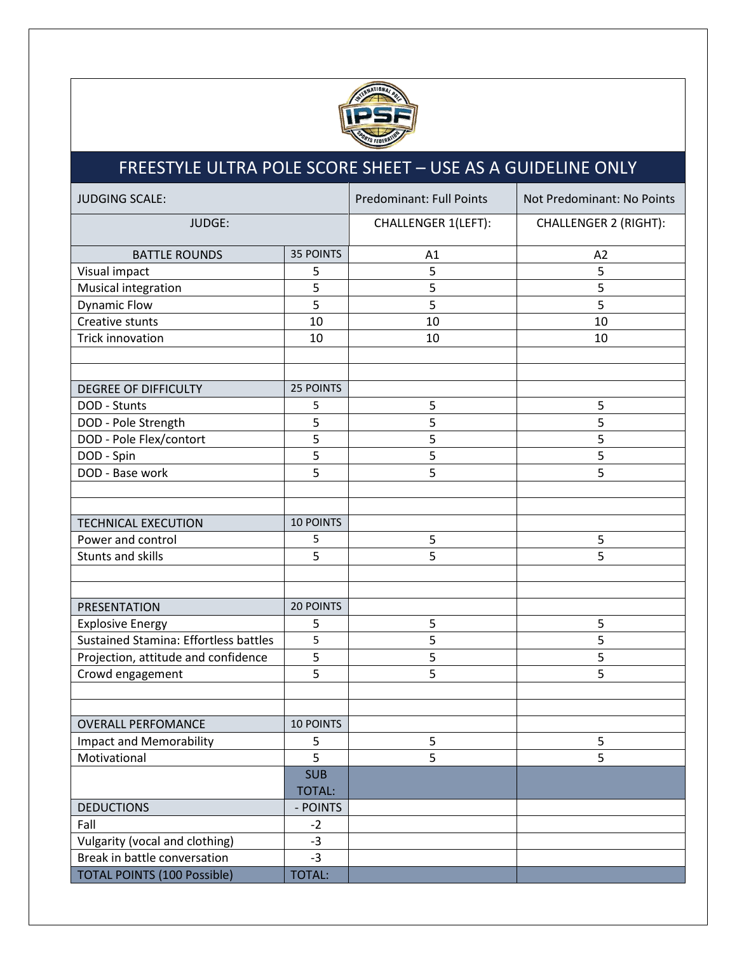

### FREESTYLE ULTRA POLE SCORE SHEET – USE AS A GUIDELINE ONLY

| <b>JUDGING SCALE:</b>                        |                  | <b>Predominant: Full Points</b> | Not Predominant: No Points   |
|----------------------------------------------|------------------|---------------------------------|------------------------------|
| JUDGE:                                       |                  | <b>CHALLENGER 1(LEFT):</b>      | <b>CHALLENGER 2 (RIGHT):</b> |
| <b>BATTLE ROUNDS</b>                         | <b>35 POINTS</b> | A1                              | A2                           |
| Visual impact                                | 5                | 5                               | 5                            |
| Musical integration                          | 5                | 5                               | 5                            |
| <b>Dynamic Flow</b>                          | 5                | 5                               | 5                            |
| Creative stunts                              | 10               | 10                              | 10                           |
| <b>Trick innovation</b>                      | 10               | 10                              | 10                           |
|                                              |                  |                                 |                              |
|                                              |                  |                                 |                              |
| <b>DEGREE OF DIFFICULTY</b>                  | 25 POINTS        |                                 |                              |
| DOD - Stunts                                 | 5                | 5                               | 5                            |
| DOD - Pole Strength                          | 5                | 5                               | 5                            |
| DOD - Pole Flex/contort                      | 5                | 5                               | 5                            |
| DOD - Spin                                   | 5                | 5                               | $\overline{5}$               |
| DOD - Base work                              | 5                | 5                               | 5                            |
|                                              |                  |                                 |                              |
|                                              |                  |                                 |                              |
| <b>TECHNICAL EXECUTION</b>                   | 10 POINTS        |                                 |                              |
| Power and control                            | 5                | 5                               | 5                            |
| Stunts and skills                            | 5                | 5                               | 5                            |
|                                              |                  |                                 |                              |
|                                              |                  |                                 |                              |
| PRESENTATION                                 | 20 POINTS        |                                 |                              |
| <b>Explosive Energy</b>                      | 5                | 5                               | 5                            |
| <b>Sustained Stamina: Effortless battles</b> | 5                | 5                               | 5                            |
| Projection, attitude and confidence          | 5                | 5                               | 5                            |
| Crowd engagement                             | 5                | 5                               | 5                            |
|                                              |                  |                                 |                              |
|                                              |                  |                                 |                              |
| <b>OVERALL PERFOMANCE</b>                    | 10 POINTS        |                                 |                              |
| <b>Impact and Memorability</b>               | 5                | 5                               | 5                            |
| Motivational                                 | 5                | 5                               | 5                            |
|                                              | <b>SUB</b>       |                                 |                              |
|                                              | <b>TOTAL:</b>    |                                 |                              |
| <b>DEDUCTIONS</b>                            | - POINTS         |                                 |                              |
| Fall                                         | $-2$             |                                 |                              |
| Vulgarity (vocal and clothing)               | $-3$             |                                 |                              |
| Break in battle conversation                 | $-3$             |                                 |                              |
| <b>TOTAL POINTS (100 Possible)</b>           | <b>TOTAL:</b>    |                                 |                              |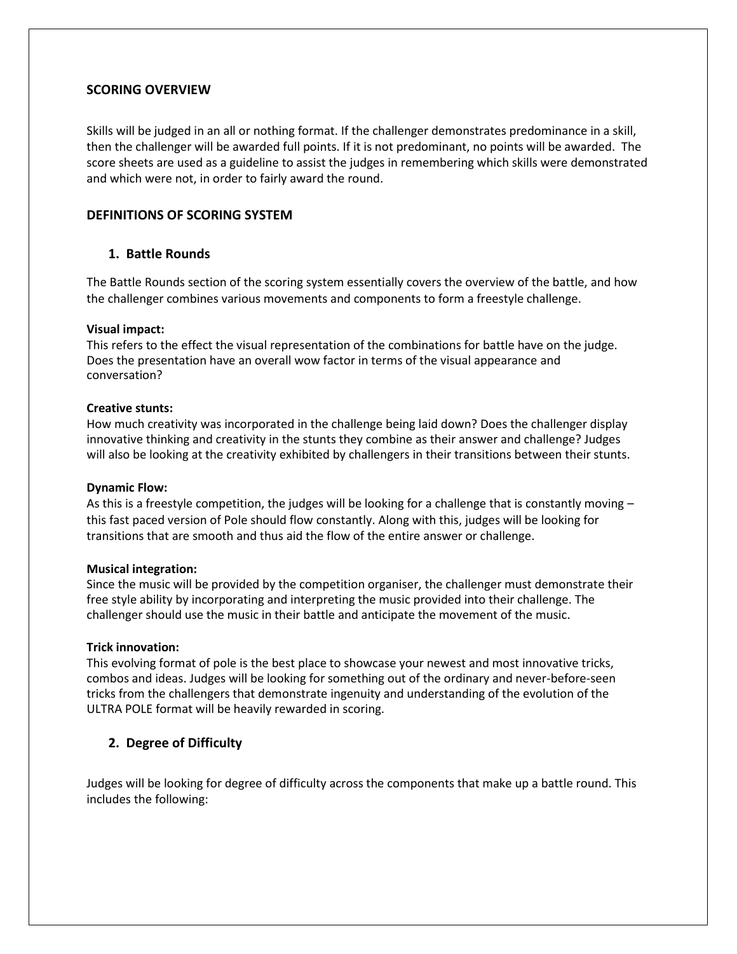#### **SCORING OVERVIEW**

Skills will be judged in an all or nothing format. If the challenger demonstrates predominance in a skill, then the challenger will be awarded full points. If it is not predominant, no points will be awarded. The score sheets are used as a guideline to assist the judges in remembering which skills were demonstrated and which were not, in order to fairly award the round.

#### **DEFINITIONS OF SCORING SYSTEM**

#### **1. Battle Rounds**

The Battle Rounds section of the scoring system essentially covers the overview of the battle, and how the challenger combines various movements and components to form a freestyle challenge.

#### **Visual impact:**

This refers to the effect the visual representation of the combinations for battle have on the judge. Does the presentation have an overall wow factor in terms of the visual appearance and conversation?

#### **Creative stunts:**

How much creativity was incorporated in the challenge being laid down? Does the challenger display innovative thinking and creativity in the stunts they combine as their answer and challenge? Judges will also be looking at the creativity exhibited by challengers in their transitions between their stunts.

#### **Dynamic Flow:**

As this is a freestyle competition, the judges will be looking for a challenge that is constantly moving – this fast paced version of Pole should flow constantly. Along with this, judges will be looking for transitions that are smooth and thus aid the flow of the entire answer or challenge.

#### **Musical integration:**

Since the music will be provided by the competition organiser, the challenger must demonstrate their free style ability by incorporating and interpreting the music provided into their challenge. The challenger should use the music in their battle and anticipate the movement of the music.

#### **Trick innovation:**

This evolving format of pole is the best place to showcase your newest and most innovative tricks, combos and ideas. Judges will be looking for something out of the ordinary and never-before-seen tricks from the challengers that demonstrate ingenuity and understanding of the evolution of the ULTRA POLE format will be heavily rewarded in scoring.

#### **2. Degree of Difficulty**

Judges will be looking for degree of difficulty across the components that make up a battle round. This includes the following: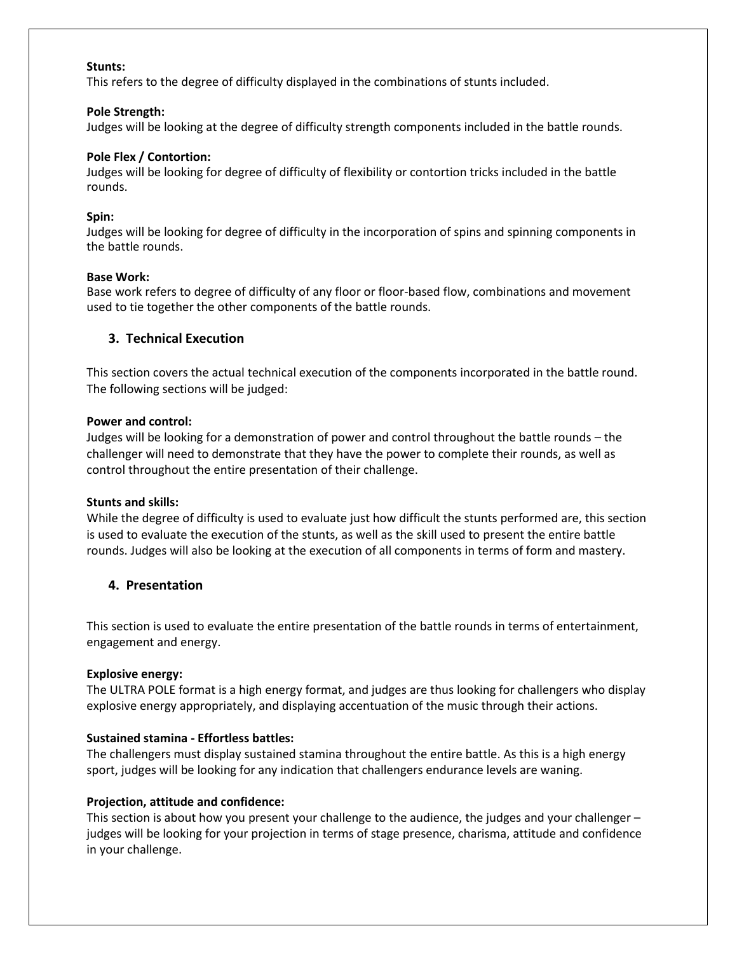#### **Stunts:**

This refers to the degree of difficulty displayed in the combinations of stunts included.

#### **Pole Strength:**

Judges will be looking at the degree of difficulty strength components included in the battle rounds.

#### **Pole Flex / Contortion:**

Judges will be looking for degree of difficulty of flexibility or contortion tricks included in the battle rounds.

#### **Spin:**

Judges will be looking for degree of difficulty in the incorporation of spins and spinning components in the battle rounds.

#### **Base Work:**

Base work refers to degree of difficulty of any floor or floor-based flow, combinations and movement used to tie together the other components of the battle rounds.

#### **3. Technical Execution**

This section covers the actual technical execution of the components incorporated in the battle round. The following sections will be judged:

#### **Power and control:**

Judges will be looking for a demonstration of power and control throughout the battle rounds – the challenger will need to demonstrate that they have the power to complete their rounds, as well as control throughout the entire presentation of their challenge.

#### **Stunts and skills:**

While the degree of difficulty is used to evaluate just how difficult the stunts performed are, this section is used to evaluate the execution of the stunts, as well as the skill used to present the entire battle rounds. Judges will also be looking at the execution of all components in terms of form and mastery.

#### **4. Presentation**

This section is used to evaluate the entire presentation of the battle rounds in terms of entertainment, engagement and energy.

#### **Explosive energy:**

The ULTRA POLE format is a high energy format, and judges are thus looking for challengers who display explosive energy appropriately, and displaying accentuation of the music through their actions.

#### **Sustained stamina - Effortless battles:**

The challengers must display sustained stamina throughout the entire battle. As this is a high energy sport, judges will be looking for any indication that challengers endurance levels are waning.

#### **Projection, attitude and confidence:**

This section is about how you present your challenge to the audience, the judges and your challenger – judges will be looking for your projection in terms of stage presence, charisma, attitude and confidence in your challenge.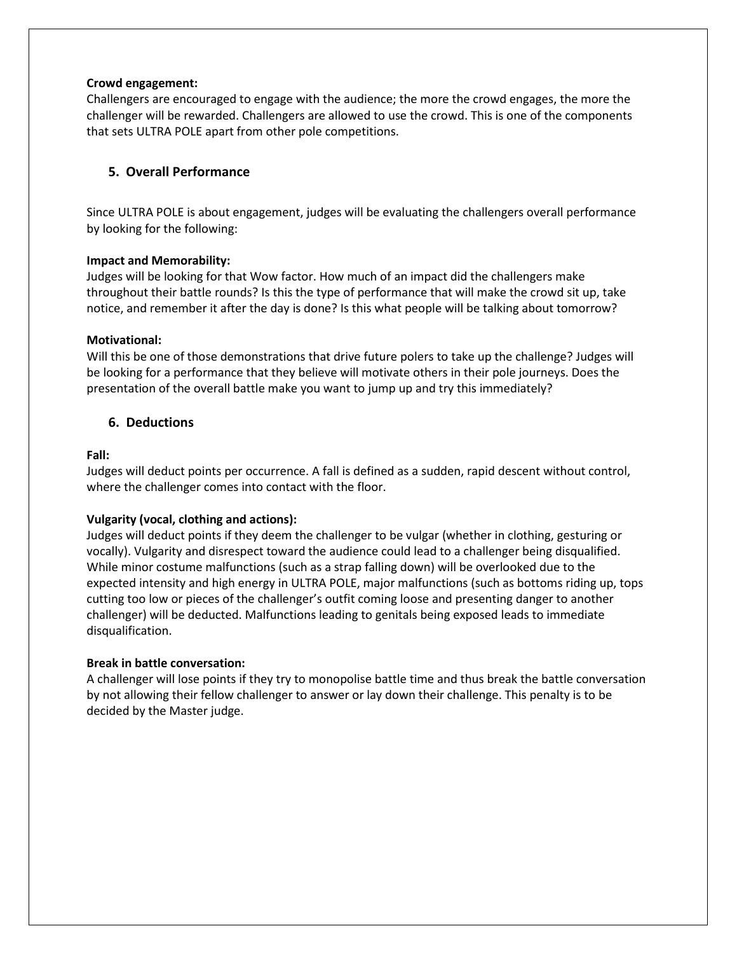#### **Crowd engagement:**

Challengers are encouraged to engage with the audience; the more the crowd engages, the more the challenger will be rewarded. Challengers are allowed to use the crowd. This is one of the components that sets ULTRA POLE apart from other pole competitions.

#### **5. Overall Performance**

Since ULTRA POLE is about engagement, judges will be evaluating the challengers overall performance by looking for the following:

#### **Impact and Memorability:**

Judges will be looking for that Wow factor. How much of an impact did the challengers make throughout their battle rounds? Is this the type of performance that will make the crowd sit up, take notice, and remember it after the day is done? Is this what people will be talking about tomorrow?

#### **Motivational:**

Will this be one of those demonstrations that drive future polers to take up the challenge? Judges will be looking for a performance that they believe will motivate others in their pole journeys. Does the presentation of the overall battle make you want to jump up and try this immediately?

#### **6. Deductions**

#### **Fall:**

Judges will deduct points per occurrence. A fall is defined as a sudden, rapid descent without control, where the challenger comes into contact with the floor.

#### **Vulgarity (vocal, clothing and actions):**

Judges will deduct points if they deem the challenger to be vulgar (whether in clothing, gesturing or vocally). Vulgarity and disrespect toward the audience could lead to a challenger being disqualified. While minor costume malfunctions (such as a strap falling down) will be overlooked due to the expected intensity and high energy in ULTRA POLE, major malfunctions (such as bottoms riding up, tops cutting too low or pieces of the challenger's outfit coming loose and presenting danger to another challenger) will be deducted. Malfunctions leading to genitals being exposed leads to immediate disqualification.

#### **Break in battle conversation:**

A challenger will lose points if they try to monopolise battle time and thus break the battle conversation by not allowing their fellow challenger to answer or lay down their challenge. This penalty is to be decided by the Master judge.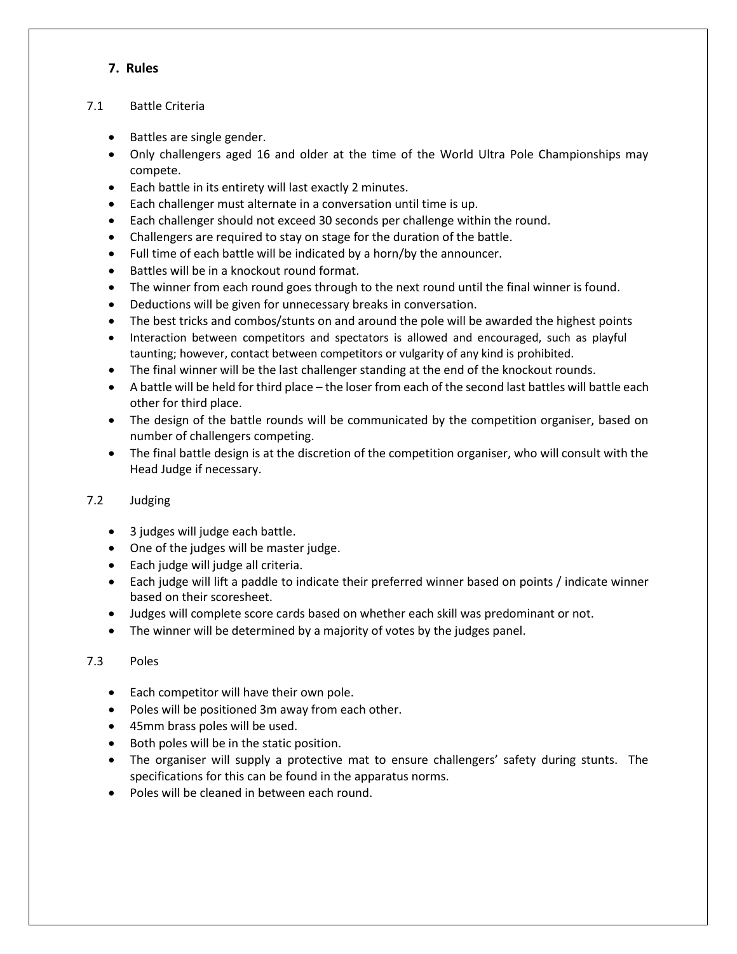#### **7. Rules**

#### 7.1 Battle Criteria

- Battles are single gender.
- Only challengers aged 16 and older at the time of the World Ultra Pole Championships may compete.
- Each battle in its entirety will last exactly 2 minutes.
- Each challenger must alternate in a conversation until time is up.
- Each challenger should not exceed 30 seconds per challenge within the round.
- Challengers are required to stay on stage for the duration of the battle.
- Full time of each battle will be indicated by a horn/by the announcer.
- Battles will be in a knockout round format.
- The winner from each round goes through to the next round until the final winner is found.
- Deductions will be given for unnecessary breaks in conversation.
- The best tricks and combos/stunts on and around the pole will be awarded the highest points
- Interaction between competitors and spectators is allowed and encouraged, such as playful taunting; however, contact between competitors or vulgarity of any kind is prohibited.
- The final winner will be the last challenger standing at the end of the knockout rounds.
- A battle will be held for third place the loser from each of the second last battles will battle each other for third place.
- The design of the battle rounds will be communicated by the competition organiser, based on number of challengers competing.
- The final battle design is at the discretion of the competition organiser, who will consult with the Head Judge if necessary.

#### 7.2 Judging

- 3 judges will judge each battle.
- One of the judges will be master judge.
- Each judge will judge all criteria.
- Each judge will lift a paddle to indicate their preferred winner based on points / indicate winner based on their scoresheet.
- Judges will complete score cards based on whether each skill was predominant or not.
- The winner will be determined by a majority of votes by the judges panel.

#### 7.3 Poles

- Each competitor will have their own pole.
- Poles will be positioned 3m away from each other.
- 45mm brass poles will be used.
- Both poles will be in the static position.
- The organiser will supply a protective mat to ensure challengers' safety during stunts. The specifications for this can be found in the apparatus norms.
- Poles will be cleaned in between each round.